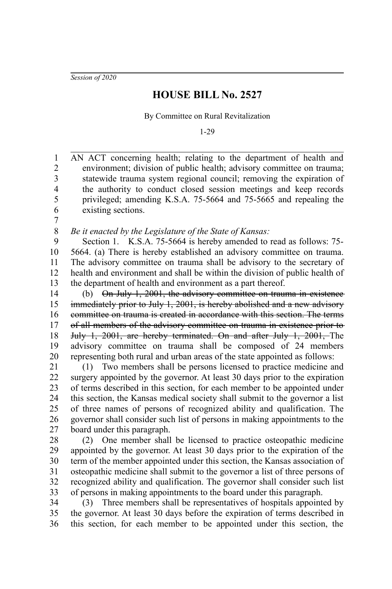*Session of 2020*

## **HOUSE BILL No. 2527**

By Committee on Rural Revitalization

1-29

AN ACT concerning health; relating to the department of health and environment; division of public health; advisory committee on trauma; statewide trauma system regional council; removing the expiration of the authority to conduct closed session meetings and keep records privileged; amending K.S.A. 75-5664 and 75-5665 and repealing the existing sections. 1 2 3 4 5 6

7

*Be it enacted by the Legislature of the State of Kansas:* 8

Section 1. K.S.A. 75-5664 is hereby amended to read as follows: 75- 5664. (a) There is hereby established an advisory committee on trauma. The advisory committee on trauma shall be advisory to the secretary of health and environment and shall be within the division of public health of the department of health and environment as a part thereof. 9 10 11 12 13

(b) On July 1, 2001, the advisory committee on trauma in existence immediately prior to July 1, 2001, is hereby abolished and a new advisory committee on trauma is created in accordance with this section. The terms of all members of the advisory committee on trauma in existence prior to July 1, 2001, are hereby terminated. On and after July 1, 2001, The advisory committee on trauma shall be composed of 24 members representing both rural and urban areas of the state appointed as follows: 14 15 16 17 18 19 20

(1) Two members shall be persons licensed to practice medicine and surgery appointed by the governor. At least 30 days prior to the expiration of terms described in this section, for each member to be appointed under this section, the Kansas medical society shall submit to the governor a list of three names of persons of recognized ability and qualification. The governor shall consider such list of persons in making appointments to the board under this paragraph. 21 22 23 24 25 26 27

(2) One member shall be licensed to practice osteopathic medicine appointed by the governor. At least 30 days prior to the expiration of the term of the member appointed under this section, the Kansas association of osteopathic medicine shall submit to the governor a list of three persons of recognized ability and qualification. The governor shall consider such list of persons in making appointments to the board under this paragraph. 28 29 30 31 32 33

(3) Three members shall be representatives of hospitals appointed by the governor. At least 30 days before the expiration of terms described in this section, for each member to be appointed under this section, the 34 35 36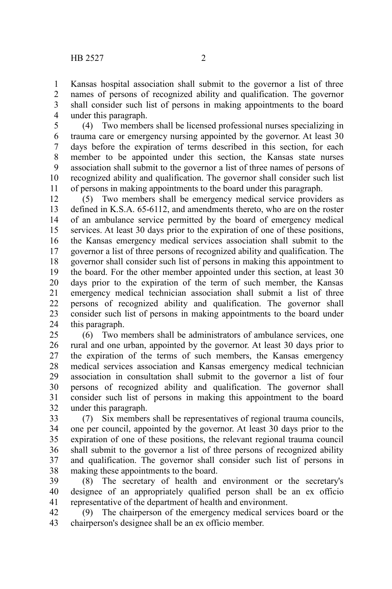Kansas hospital association shall submit to the governor a list of three names of persons of recognized ability and qualification. The governor shall consider such list of persons in making appointments to the board under this paragraph. 1 2 3 4

(4) Two members shall be licensed professional nurses specializing in trauma care or emergency nursing appointed by the governor. At least 30 days before the expiration of terms described in this section, for each member to be appointed under this section, the Kansas state nurses association shall submit to the governor a list of three names of persons of recognized ability and qualification. The governor shall consider such list of persons in making appointments to the board under this paragraph. 5 6 7 8 9 10 11

(5) Two members shall be emergency medical service providers as defined in K.S.A. 65-6112, and amendments thereto, who are on the roster of an ambulance service permitted by the board of emergency medical services. At least 30 days prior to the expiration of one of these positions, the Kansas emergency medical services association shall submit to the governor a list of three persons of recognized ability and qualification. The governor shall consider such list of persons in making this appointment to the board. For the other member appointed under this section, at least 30 days prior to the expiration of the term of such member, the Kansas emergency medical technician association shall submit a list of three persons of recognized ability and qualification. The governor shall consider such list of persons in making appointments to the board under this paragraph. 12 13 14 15 16 17 18 19 20 21 22 23 24

(6) Two members shall be administrators of ambulance services, one rural and one urban, appointed by the governor. At least 30 days prior to the expiration of the terms of such members, the Kansas emergency medical services association and Kansas emergency medical technician association in consultation shall submit to the governor a list of four persons of recognized ability and qualification. The governor shall consider such list of persons in making this appointment to the board under this paragraph. 25 26 27 28 29 30 31 32

(7) Six members shall be representatives of regional trauma councils, one per council, appointed by the governor. At least 30 days prior to the expiration of one of these positions, the relevant regional trauma council shall submit to the governor a list of three persons of recognized ability and qualification. The governor shall consider such list of persons in making these appointments to the board. 33 34 35 36 37 38

(8) The secretary of health and environment or the secretary's designee of an appropriately qualified person shall be an ex officio representative of the department of health and environment. 39 40 41

(9) The chairperson of the emergency medical services board or the chairperson's designee shall be an ex officio member. 42 43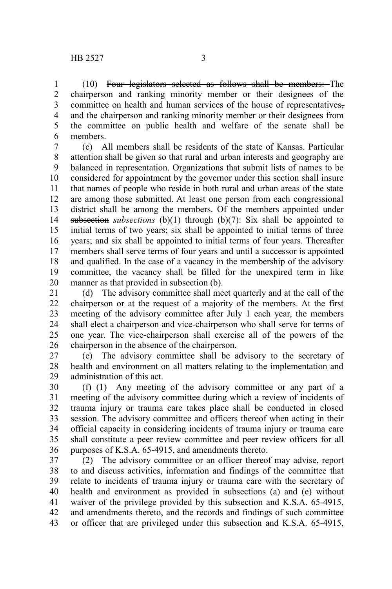(10) Four legislators selected as follows shall be members: The chairperson and ranking minority member or their designees of the committee on health and human services of the house of representatives, and the chairperson and ranking minority member or their designees from the committee on public health and welfare of the senate shall be members. 1 2 3 4 5 6

(c) All members shall be residents of the state of Kansas. Particular attention shall be given so that rural and urban interests and geography are balanced in representation. Organizations that submit lists of names to be considered for appointment by the governor under this section shall insure that names of people who reside in both rural and urban areas of the state are among those submitted. At least one person from each congressional district shall be among the members. Of the members appointed under subsection *subsections* (b)(1) through (b)(7): Six shall be appointed to initial terms of two years; six shall be appointed to initial terms of three years; and six shall be appointed to initial terms of four years. Thereafter members shall serve terms of four years and until a successor is appointed and qualified. In the case of a vacancy in the membership of the advisory committee, the vacancy shall be filled for the unexpired term in like manner as that provided in subsection (b). 7 8 9 10 11 12 13 14 15 16 17 18 19 20

(d) The advisory committee shall meet quarterly and at the call of the chairperson or at the request of a majority of the members. At the first meeting of the advisory committee after July 1 each year, the members shall elect a chairperson and vice-chairperson who shall serve for terms of one year. The vice-chairperson shall exercise all of the powers of the chairperson in the absence of the chairperson. 21 22 23 24 25 26

(e) The advisory committee shall be advisory to the secretary of health and environment on all matters relating to the implementation and administration of this act. 27 28 29

(f) (1) Any meeting of the advisory committee or any part of a meeting of the advisory committee during which a review of incidents of trauma injury or trauma care takes place shall be conducted in closed session. The advisory committee and officers thereof when acting in their official capacity in considering incidents of trauma injury or trauma care shall constitute a peer review committee and peer review officers for all purposes of K.S.A. 65-4915, and amendments thereto. 30 31 32 33 34 35 36

(2) The advisory committee or an officer thereof may advise, report to and discuss activities, information and findings of the committee that relate to incidents of trauma injury or trauma care with the secretary of health and environment as provided in subsections (a) and (e) without waiver of the privilege provided by this subsection and K.S.A. 65-4915, and amendments thereto, and the records and findings of such committee or officer that are privileged under this subsection and K.S.A. 65-4915, 37 38 39 40 41 42 43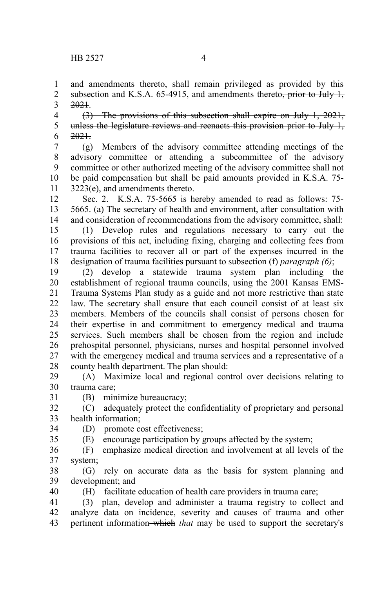and amendments thereto, shall remain privileged as provided by this subsection and K.S.A.  $65-4915$ , and amendments thereto<del>, prior to July 1,</del> 2021. 1 2 3

(3) The provisions of this subsection shall expire on July 1, 2021, unless the legislature reviews and reenacts this provision prior to July 1, 2021. 4 5 6

(g) Members of the advisory committee attending meetings of the advisory committee or attending a subcommittee of the advisory committee or other authorized meeting of the advisory committee shall not be paid compensation but shall be paid amounts provided in K.S.A. 75- 3223(e), and amendments thereto. 7 8 9 10 11

Sec. 2. K.S.A. 75-5665 is hereby amended to read as follows: 75- 5665. (a) The secretary of health and environment, after consultation with and consideration of recommendations from the advisory committee, shall: 12 13 14

(1) Develop rules and regulations necessary to carry out the provisions of this act, including fixing, charging and collecting fees from trauma facilities to recover all or part of the expenses incurred in the designation of trauma facilities pursuant to subsection (f) *paragraph (6)*; 15 16 17 18

(2) develop a statewide trauma system plan including the establishment of regional trauma councils, using the 2001 Kansas EMS-Trauma Systems Plan study as a guide and not more restrictive than state law. The secretary shall ensure that each council consist of at least six members. Members of the councils shall consist of persons chosen for their expertise in and commitment to emergency medical and trauma services. Such members shall be chosen from the region and include prehospital personnel, physicians, nurses and hospital personnel involved with the emergency medical and trauma services and a representative of a county health department. The plan should: 19 20 21 22 23 24 25 26 27 28

(A) Maximize local and regional control over decisions relating to trauma care; 29 30 31

(B) minimize bureaucracy;

35

40

(C) adequately protect the confidentiality of proprietary and personal health information; 32 33

(D) promote cost effectiveness; 34

(E) encourage participation by groups affected by the system;

(F) emphasize medical direction and involvement at all levels of the system; 36 37

(G) rely on accurate data as the basis for system planning and development; and 38 39

(H) facilitate education of health care providers in trauma care;

(3) plan, develop and administer a trauma registry to collect and analyze data on incidence, severity and causes of trauma and other pertinent information which *that* may be used to support the secretary's 41 42 43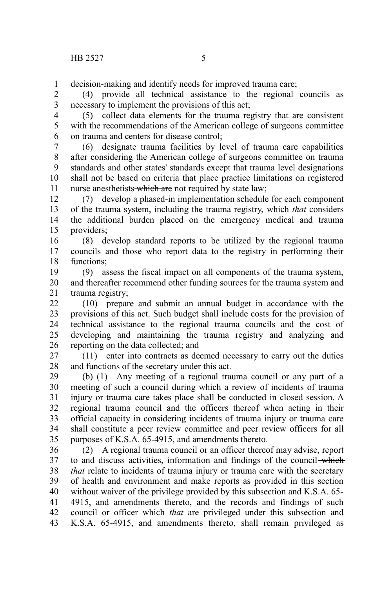decision-making and identify needs for improved trauma care; 1

(4) provide all technical assistance to the regional councils as necessary to implement the provisions of this act; 2 3

(5) collect data elements for the trauma registry that are consistent with the recommendations of the American college of surgeons committee on trauma and centers for disease control; 4 5 6

(6) designate trauma facilities by level of trauma care capabilities after considering the American college of surgeons committee on trauma standards and other states' standards except that trauma level designations shall not be based on criteria that place practice limitations on registered nurse anesthetists which are not required by state law; 7 8 9 10 11

(7) develop a phased-in implementation schedule for each component of the trauma system, including the trauma registry, which *that* considers the additional burden placed on the emergency medical and trauma providers; 12 13 14 15

(8) develop standard reports to be utilized by the regional trauma councils and those who report data to the registry in performing their functions; 16 17 18

(9) assess the fiscal impact on all components of the trauma system, and thereafter recommend other funding sources for the trauma system and trauma registry; 19 20 21

(10) prepare and submit an annual budget in accordance with the provisions of this act. Such budget shall include costs for the provision of technical assistance to the regional trauma councils and the cost of developing and maintaining the trauma registry and analyzing and reporting on the data collected; and 22 23 24 25 26

(11) enter into contracts as deemed necessary to carry out the duties and functions of the secretary under this act. 27 28

(b) (1) Any meeting of a regional trauma council or any part of a meeting of such a council during which a review of incidents of trauma injury or trauma care takes place shall be conducted in closed session. A regional trauma council and the officers thereof when acting in their official capacity in considering incidents of trauma injury or trauma care shall constitute a peer review committee and peer review officers for all purposes of K.S.A. 65-4915, and amendments thereto. 29 30 31 32 33 34 35

(2) A regional trauma council or an officer thereof may advise, report to and discuss activities, information and findings of the council which *that* relate to incidents of trauma injury or trauma care with the secretary of health and environment and make reports as provided in this section without waiver of the privilege provided by this subsection and K.S.A. 65- 4915, and amendments thereto, and the records and findings of such council or officer which *that* are privileged under this subsection and K.S.A. 65-4915, and amendments thereto, shall remain privileged as 36 37 38 39 40 41 42 43